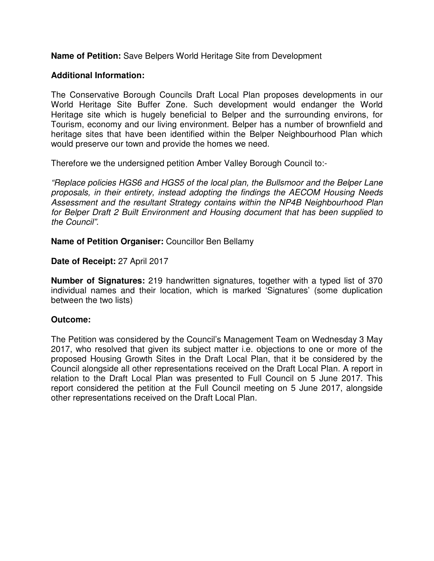**Name of Petition:** Save Belpers World Heritage Site from Development

## **Additional Information:**

The Conservative Borough Councils Draft Local Plan proposes developments in our World Heritage Site Buffer Zone. Such development would endanger the World Heritage site which is hugely beneficial to Belper and the surrounding environs, for Tourism, economy and our living environment. Belper has a number of brownfield and heritage sites that have been identified within the Belper Neighbourhood Plan which would preserve our town and provide the homes we need.

Therefore we the undersigned petition Amber Valley Borough Council to:-

"Replace policies HGS6 and HGS5 of the local plan, the Bullsmoor and the Belper Lane proposals, in their entirety, instead adopting the findings the AECOM Housing Needs Assessment and the resultant Strategy contains within the NP4B Neighbourhood Plan for Belper Draft 2 Built Environment and Housing document that has been supplied to the Council".

**Name of Petition Organiser:** Councillor Ben Bellamy

## **Date of Receipt:** 27 April 2017

**Number of Signatures:** 219 handwritten signatures, together with a typed list of 370 individual names and their location, which is marked 'Signatures' (some duplication between the two lists)

## **Outcome:**

The Petition was considered by the Council's Management Team on Wednesday 3 May 2017, who resolved that given its subject matter i.e. objections to one or more of the proposed Housing Growth Sites in the Draft Local Plan, that it be considered by the Council alongside all other representations received on the Draft Local Plan. A report in relation to the Draft Local Plan was presented to Full Council on 5 June 2017. This report considered the petition at the Full Council meeting on 5 June 2017, alongside other representations received on the Draft Local Plan.